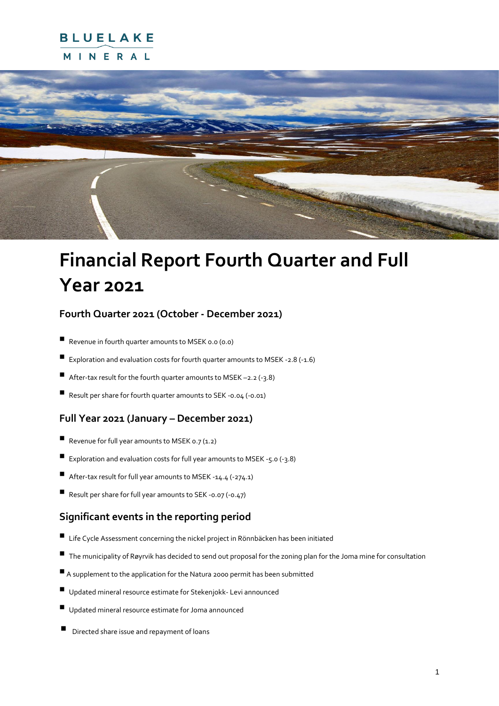# BLUELAKE MINERAL



# **Financial Report Fourth Quarter and Full Year 2021**

### **Fourth Quarter 2021 (October - December 2021)**

- $\blacksquare$  Revenue in fourth quarter amounts to MSEK 0.0 (0.0)
- Exploration and evaluation costs for fourth quarter amounts to MSEK -2.8 (-1.6)
- **E** After-tax result for the fourth quarter amounts to MSEK  $-2.2$  ( $-3.8$ )
- $\blacksquare$  Result per share for fourth quarter amounts to SEK -0.04 (-0.01)

### **Full Year 2021 (January – December 2021)**

- Revenue for full year amounts to MSEK  $0.7(1.2)$
- Exploration and evaluation costs for full year amounts to MSEK -5.0 (-3.8)
- **E** After-tax result for full year amounts to MSEK -14.4 (-274.1)
- Result per share for full year amounts to SEK -0.07 (-0.47)

### **Significant events in the reporting period**

- $\blacksquare$  Life Cycle Assessment concerning the nickel project in Rönnbäcken has been initiated
- The municipality of Røyrvik has decided to send out proposal for the zoning plan for the Joma mine for consultation
- $\blacksquare$  A supplement to the application for the Natura 2000 permit has been submitted
- Updated mineral resource estimate for Stekenjokk- Levi announced
- Updated mineral resource estimate for Joma announced
- Directed share issue and repayment of loans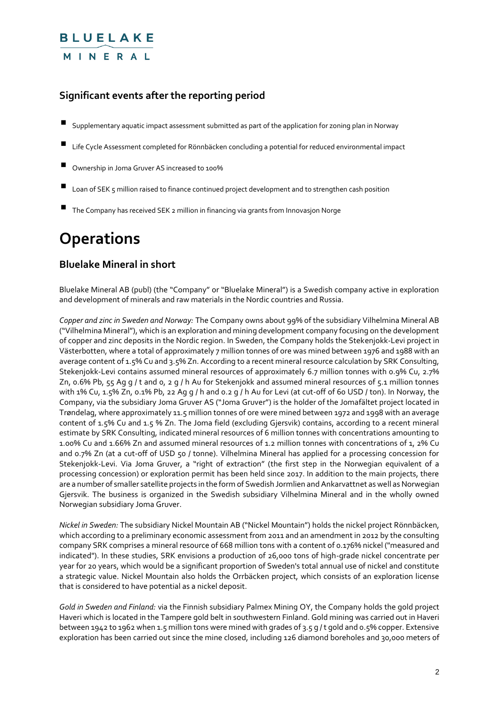## **BLUELAKE** MINERAL

### **Significant events after the reporting period**

- $\blacksquare$  Supplementary aquatic impact assessment submitted as part of the application for zoning plan in Norway
- $\blacksquare$  Life Cycle Assessment completed for Rönnbäcken concluding a potential for reduced environmental impact
- Ownership in Joma Gruver AS increased to 100%
- $\blacksquare$  Loan of SEK  $\epsilon$  million raised to finance continued project development and to strengthen cash position
- The Company has received SEK 2 million in financing via grants from Innovasjon Norge

# **Operations**

#### **Bluelake Mineral in short**

Bluelake Mineral AB (publ) (the "Company" or "Bluelake Mineral") is a Swedish company active in exploration and development of minerals and raw materials in the Nordic countries and Russia.

*Copper and zinc in Sweden and Norway:* The Company owns about 99% of the subsidiary Vilhelmina Mineral AB ("Vilhelmina Mineral"), which is an exploration and mining development company focusing on the development of copper and zinc deposits in the Nordic region. In Sweden, the Company holds the Stekenjokk-Levi project in Västerbotten, where a total of approximately 7 million tonnes of ore was mined between 1976 and 1988 with an average content of 1.5% Cu and 3.5% Zn. According to a recent mineral resource calculation by SRK Consulting, Stekenjokk-Levi contains assumed mineral resources of approximately 6.7 million tonnes with 0.9% Cu, 2.7% Zn, 0.6% Pb, 55 Ag g / t and 0, 2 g / h Au for Stekenjokk and assumed mineral resources of 5.1 million tonnes with 1% Cu, 1.5% Zn, 0.1% Pb, 22 Ag g / h and 0.2 g / h Au for Levi (at cut-off of 60 USD / ton). In Norway, the Company, via the subsidiary Joma Gruver AS ("Joma Gruver") is the holder of the Jomafältet project located in Trøndelag, where approximately 11.5 million tonnes of ore were mined between 1972 and 1998 with an average content of 1.5% Cu and 1.5 % Zn. The Joma field (excluding Gjersvik) contains, according to a recent mineral estimate by SRK Consulting, indicated mineral resources of 6 million tonnes with concentrations amounting to 1.00% Cu and 1.66% Zn and assumed mineral resources of 1.2 million tonnes with concentrations of 1, 2% Cu and 0.7% Zn (at a cut-off of USD 50 / tonne). Vilhelmina Mineral has applied for a processing concession for Stekenjokk-Levi. Via Joma Gruver, a "right of extraction" (the first step in the Norwegian equivalent of a processing concession) or exploration permit has been held since 2017. In addition to the main projects, there are a number of smaller satellite projects in the form of Swedish Jormlien and Ankarvattnet as well as Norwegian Gjersvik. The business is organized in the Swedish subsidiary Vilhelmina Mineral and in the wholly owned Norwegian subsidiary Joma Gruver.

*Nickel in Sweden:* The subsidiary Nickel Mountain AB ("Nickel Mountain") holds the nickel project Rönnbäcken, which according to a preliminary economic assessment from 2011 and an amendment in 2012 by the consulting company SRK comprises a mineral resource of 668 million tons with a content of 0.176% nickel ("measured and indicated"). In these studies, SRK envisions a production of 26,000 tons of high-grade nickel concentrate per year for 20 years, which would be a significant proportion of Sweden's total annual use of nickel and constitute a strategic value. Nickel Mountain also holds the Orrbäcken project, which consists of an exploration license that is considered to have potential as a nickel deposit.

*Gold in Sweden and Finland:* via the Finnish subsidiary Palmex Mining OY, the Company holds the gold project Haveri which is located in the Tampere gold belt in southwestern Finland. Gold mining was carried out in Haveri between 1942 to 1962 when 1.5 million tons were mined with grades of 3.5 g / t gold and 0.5% copper. Extensive exploration has been carried out since the mine closed, including 126 diamond boreholes and 30,000 meters of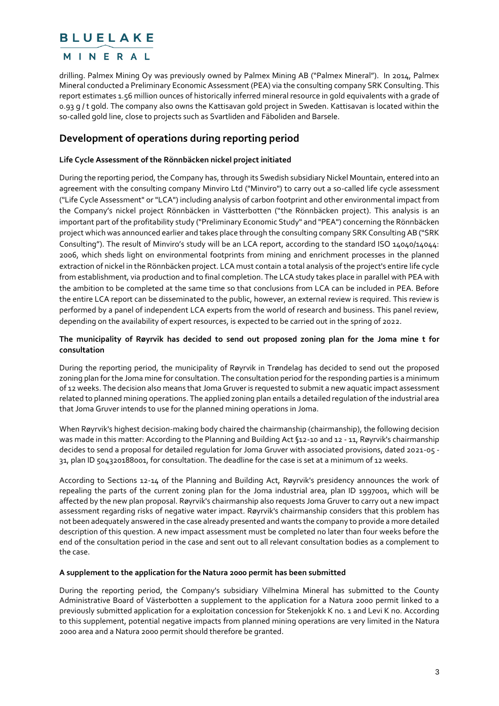#### MINERAL

drilling. Palmex Mining Oy was previously owned by Palmex Mining AB ("Palmex Mineral"). In 2014, Palmex Mineral conducted a Preliminary Economic Assessment (PEA) via the consulting company SRK Consulting. This report estimates 1.56 million ounces of historically inferred mineral resource in gold equivalents with a grade of 0.93 g / t gold. The company also owns the Kattisavan gold project in Sweden. Kattisavan is located within the so-called gold line, close to projects such as Svartliden and Fäboliden and Barsele.

### **Development of operations during reporting period**

#### **Life Cycle Assessment of the Rönnbäcken nickel project initiated**

During the reporting period, the Company has, through its Swedish subsidiary Nickel Mountain, entered into an agreement with the consulting company Minviro Ltd ("Minviro") to carry out a so-called life cycle assessment ("Life Cycle Assessment" or "LCA") including analysis of carbon footprint and other environmental impact from the Company's nickel project Rönnbäcken in Västterbotten ("the Rönnbäcken project). This analysis is an important part of the profitability study ("Preliminary Economic Study" and "PEA") concerning the Rönnbäcken project which was announced earlier and takes place through the consulting company SRK Consulting AB ("SRK Consulting"). The result of Minviro's study will be an LCA report, according to the standard ISO 14040/14044: 2006, which sheds light on environmental footprints from mining and enrichment processes in the planned extraction of nickel in the Rönnbäcken project. LCA must contain a total analysis of the project's entire life cycle from establishment, via production and to final completion. The LCA study takes place in parallel with PEA with the ambition to be completed at the same time so that conclusions from LCA can be included in PEA. Before the entire LCA report can be disseminated to the public, however, an external review is required. This review is performed by a panel of independent LCA experts from the world of research and business. This panel review, depending on the availability of expert resources, is expected to be carried out in the spring of 2022.

#### **The municipality of Røyrvik has decided to send out proposed zoning plan for the Joma mine t for consultation**

During the reporting period, the municipality of Røyrvik in Trøndelag has decided to send out the proposed zoning plan for the Joma mine for consultation. The consultation period for the responding parties is a minimum of 12 weeks. The decision also means that Joma Gruver is requested to submit a new aquatic impact assessment related to planned mining operations. The applied zoning plan entails a detailed regulation of the industrial area that Joma Gruver intends to use for the planned mining operations in Joma.

When Røyrvik's highest decision-making body chaired the chairmanship (chairmanship), the following decision was made in this matter: According to the Planning and Building Act §12-10 and 12 - 11, Røyrvik's chairmanship decides to send a proposal for detailed regulation for Joma Gruver with associated provisions, dated 2021-05 - 31, plan ID 504320188001, for consultation. The deadline for the case is set at a minimum of 12 weeks.

According to Sections 12-14 of the Planning and Building Act, Røyrvik's presidency announces the work of repealing the parts of the current zoning plan for the Joma industrial area, plan ID 1997001, which will be affected by the new plan proposal. Røyrvik's chairmanship also requests Joma Gruver to carry out a new impact assessment regarding risks of negative water impact. Røyrvik's chairmanship considers that this problem has not been adequately answered in the case already presented and wants the company to provide a more detailed description of this question. A new impact assessment must be completed no later than four weeks before the end of the consultation period in the case and sent out to all relevant consultation bodies as a complement to the case.

#### **A supplement to the application for the Natura 2000 permit has been submitted**

During the reporting period, the Company's subsidiary Vilhelmina Mineral has submitted to the County Administrative Board of Västerbotten a supplement to the application for a Natura 2000 permit linked to a previously submitted application for a exploitation concession for Stekenjokk K no. 1 and Levi K no. According to this supplement, potential negative impacts from planned mining operations are very limited in the Natura 2000 area and a Natura 2000 permit should therefore be granted.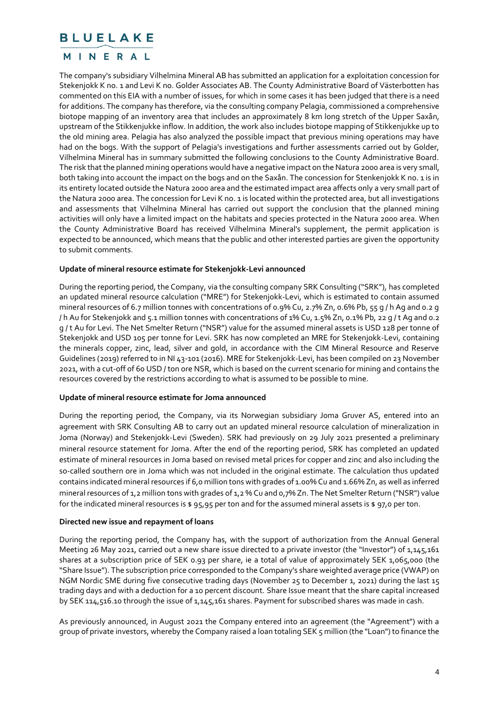#### MINERAL

The company's subsidiary Vilhelmina Mineral AB has submitted an application for a exploitation concession for Stekenjokk K no. 1 and Levi K no. Golder Associates AB. The County Administrative Board of Västerbotten has commented on this EIA with a number of issues, for which in some cases it has been judged that there is a need for additions. The company has therefore, via the consulting company Pelagia, commissioned a comprehensive biotope mapping of an inventory area that includes an approximately 8 km long stretch of the Upper Saxån, upstream of the Stikkenjukke inflow. In addition, the work also includes biotope mapping of Stikkenjukke up to the old mining area. Pelagia has also analyzed the possible impact that previous mining operations may have had on the bogs. With the support of Pelagia's investigations and further assessments carried out by Golder, Vilhelmina Mineral has in summary submitted the following conclusions to the County Administrative Board. The risk that the planned mining operations would have a negative impact on the Natura 2000 area is very small, both taking into account the impact on the bogs and on the Saxån. The concession for Stenkenjokk K no. 1 is in its entirety located outside the Natura 2000 area and the estimated impact area affects only a very small part of the Natura 2000 area. The concession for Levi K no. 1 is located within the protected area, but all investigations and assessments that Vilhelmina Mineral has carried out support the conclusion that the planned mining activities will only have a limited impact on the habitats and species protected in the Natura 2000 area. When the County Administrative Board has received Vilhelmina Mineral's supplement, the permit application is expected to be announced, which means that the public and other interested parties are given the opportunity to submit comments.

#### **Update of mineral resource estimate for Stekenjokk-Levi announced**

During the reporting period, the Company, via the consulting company SRK Consulting ("SRK"), has completed an updated mineral resource calculation ("MRE") for Stekenjokk-Levi, which is estimated to contain assumed mineral resources of 6.7 million tonnes with concentrations of 0.9% Cu, 2.7% Zn, 0.6% Pb, 55 g / h Ag and 0.2 g / h Au for Stekenjokk and 5.1 million tonnes with concentrations of 1% Cu, 1.5% Zn, 0.1% Pb, 22 g / t Ag and 0.2 g / t Au for Levi. The Net Smelter Return ("NSR") value for the assumed mineral assets is USD 128 per tonne of Stekenjokk and USD 105 per tonne for Levi. SRK has now completed an MRE for Stekenjokk-Levi, containing the minerals copper, zinc, lead, silver and gold, in accordance with the CIM Mineral Resource and Reserve Guidelines (2019) referred to in NI 43-101 (2016). MRE for Stekenjokk-Levi, has been compiled on 23 November 2021, with a cut-off of 60 USD / ton ore NSR, which is based on the current scenario for mining and contains the resources covered by the restrictions according to what is assumed to be possible to mine.

#### **Update of mineral resource estimate for Joma announced**

During the reporting period, the Company, via its Norwegian subsidiary Joma Gruver AS, entered into an agreement with SRK Consulting AB to carry out an updated mineral resource calculation of mineralization in Joma (Norway) and Stekenjokk-Levi (Sweden). SRK had previously on 29 July 2021 presented a preliminary mineral resource statement for Joma. After the end of the reporting period, SRK has completed an updated estimate of mineral resources in Joma based on revised metal prices for copper and zinc and also including the so-called southern ore in Joma which was not included in the original estimate. The calculation thus updated contains indicated mineral resources if 6,0 million tons with grades of 1.00% Cu and 1.66% Zn, as well as inferred mineral resources of 1,2 million tons with grades of 1,2 % Cu and 0,7% Zn. The Net Smelter Return ("NSR") value for the indicated mineral resources is  $\frac{1}{2}$   $95,95$  per ton and for the assumed mineral assets is  $\frac{1}{2}$  97,0 per ton.

#### **Directed new issue and repayment of loans**

During the reporting period, the Company has, with the support of authorization from the Annual General Meeting 26 May 2021, carried out a new share issue directed to a private investor (the "Investor") of 1,145,161 shares at a subscription price of SEK 0.93 per share, ie a total of value of approximately SEK 1,065,000 (the "Share Issue"). The subscription price corresponded to the Company's share weighted average price (VWAP) on NGM Nordic SME during five consecutive trading days (November 25 to December 1, 2021) during the last 15 trading days and with a deduction for a 10 percent discount. Share Issue meant that the share capital increased by SEK 114,516.10 through the issue of 1,145,161 shares. Payment for subscribed shares was made in cash.

As previously announced, in August 2021 the Company entered into an agreement (the "Agreement") with a group of private investors, whereby the Company raised a loan totaling SEK 5 million (the "Loan") to finance the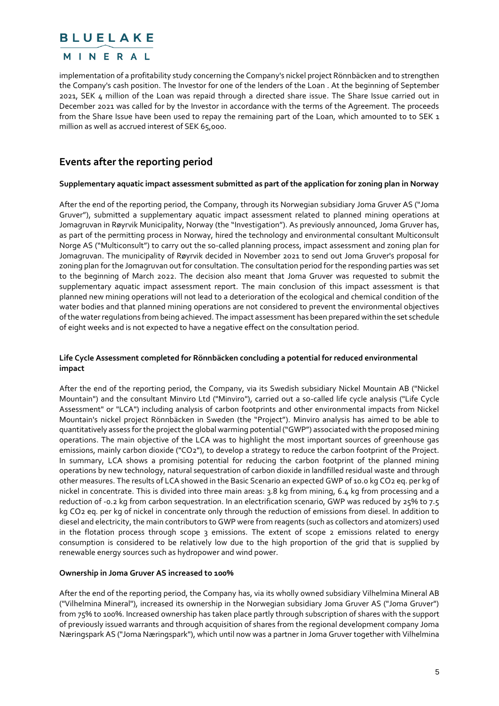#### MINERAL

implementation of a profitability study concerning the Company's nickel project Rönnbäcken and to strengthen the Company's cash position. The Investor for one of the lenders of the Loan . At the beginning of September 2021, SEK 4 million of the Loan was repaid through a directed share issue. The Share Issue carried out in December 2021 was called for by the Investor in accordance with the terms of the Agreement. The proceeds from the Share Issue have been used to repay the remaining part of the Loan, which amounted to to SEK 1 million as well as accrued interest of SEK 65,000.

### **Events after the reporting period**

#### **Supplementary aquatic impact assessment submitted as part of the application for zoning plan in Norway**

After the end of the reporting period, the Company, through its Norwegian subsidiary Joma Gruver AS ("Joma Gruver"), submitted a supplementary aquatic impact assessment related to planned mining operations at Jomagruvan in Røyrvik Municipality, Norway (the "Investigation"). As previously announced, Joma Gruver has, as part of the permitting process in Norway, hired the technology and environmental consultant Multiconsult Norge AS ("Multiconsult") to carry out the so-called planning process, impact assessment and zoning plan for Jomagruvan. The municipality of Røyrvik decided in November 2021 to send out Joma Gruver's proposal for zoning plan for the Jomagruvan out for consultation. The consultation period for the responding parties was set to the beginning of March 2022. The decision also meant that Joma Gruver was requested to submit the supplementary aquatic impact assessment report. The main conclusion of this impact assessment is that planned new mining operations will not lead to a deterioration of the ecological and chemical condition of the water bodies and that planned mining operations are not considered to prevent the environmental objectives of the water regulations from being achieved. The impact assessment has been prepared within the set schedule of eight weeks and is not expected to have a negative effect on the consultation period.

#### **Life Cycle Assessment completed for Rönnbäcken concluding a potential for reduced environmental impact**

After the end of the reporting period, the Company, via its Swedish subsidiary Nickel Mountain AB ("Nickel Mountain") and the consultant Minviro Ltd ("Minviro"), carried out a so-called life cycle analysis ("Life Cycle Assessment" or "LCA") including analysis of carbon footprints and other environmental impacts from Nickel Mountain's nickel project Rönnbäcken in Sweden (the "Project"). Minviro analysis has aimed to be able to quantitatively assess for the project the global warming potential ("GWP") associated with the proposed mining operations. The main objective of the LCA was to highlight the most important sources of greenhouse gas emissions, mainly carbon dioxide ("CO2"), to develop a strategy to reduce the carbon footprint of the Project. In summary, LCA shows a promising potential for reducing the carbon footprint of the planned mining operations by new technology, natural sequestration of carbon dioxide in landfilled residual waste and through other measures. The results of LCA showed in the Basic Scenario an expected GWP of 10.0 kg CO2 eq. per kg of nickel in concentrate. This is divided into three main areas: 3.8 kg from mining, 6.4 kg from processing and a reduction of -0.2 kg from carbon sequestration. In an electrification scenario, GWP was reduced by 25% to 7.5 kg CO2 eq. per kg of nickel in concentrate only through the reduction of emissions from diesel. In addition to diesel and electricity, the main contributors to GWP were from reagents (such as collectors and atomizers) used in the flotation process through scope 3 emissions. The extent of scope 2 emissions related to energy consumption is considered to be relatively low due to the high proportion of the grid that is supplied by renewable energy sources such as hydropower and wind power.

#### **Ownership in Joma Gruver AS increased to 100%**

After the end of the reporting period, the Company has, via its wholly owned subsidiary Vilhelmina Mineral AB ("Vilhelmina Mineral"), increased its ownership in the Norwegian subsidiary Joma Gruver AS ("Joma Gruver") from 75% to 100%. Increased ownership has taken place partly through subscription of shares with the support of previously issued warrants and through acquisition of shares from the regional development company Joma Næringspark AS ("Joma Næringspark"), which until now was a partner in Joma Gruver together with Vilhelmina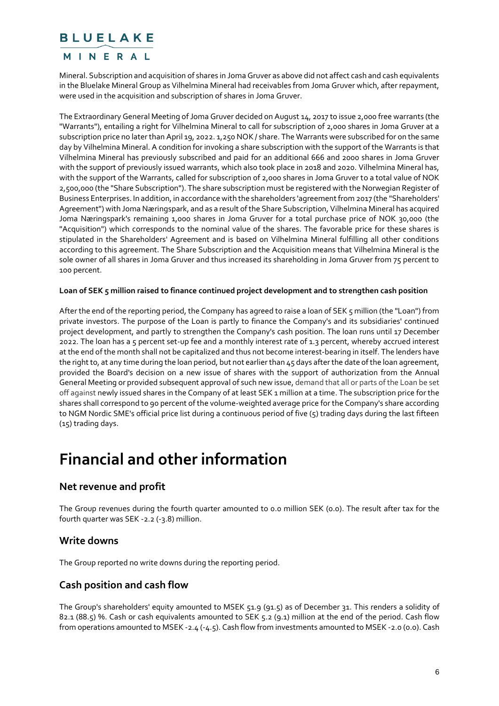#### MINERAL

Mineral. Subscription and acquisition of shares in Joma Gruver as above did not affect cash and cash equivalents in the Bluelake Mineral Group as Vilhelmina Mineral had receivables from Joma Gruver which, after repayment, were used in the acquisition and subscription of shares in Joma Gruver.

The Extraordinary General Meeting of Joma Gruver decided on August 14, 2017 to issue 2,000 free warrants (the "Warrants"), entailing a right for Vilhelmina Mineral to call for subscription of 2,000 shares in Joma Gruver at a subscription price no later than April 19, 2022. 1,250 NOK / share. The Warrants were subscribed for on the same day by Vilhelmina Mineral. A condition for invoking a share subscription with the support of the Warrants is that Vilhelmina Mineral has previously subscribed and paid for an additional 666 and 2000 shares in Joma Gruver with the support of previously issued warrants, which also took place in 2018 and 2020. Vilhelmina Mineral has, with the support of the Warrants, called for subscription of 2,000 shares in Joma Gruver to a total value of NOK 2,500,000 (the "Share Subscription"). The share subscription must be registered with the Norwegian Register of Business Enterprises. In addition, in accordance with the shareholders 'agreement from 2017 (the "Shareholders' Agreement") with Joma Næringspark, and as a result of the Share Subscription, Vilhelmina Mineral has acquired Joma Næringspark's remaining 1,000 shares in Joma Gruver for a total purchase price of NOK 30,000 (the "Acquisition") which corresponds to the nominal value of the shares. The favorable price for these shares is stipulated in the Shareholders' Agreement and is based on Vilhelmina Mineral fulfilling all other conditions according to this agreement. The Share Subscription and the Acquisition means that Vilhelmina Mineral is the sole owner of all shares in Joma Gruver and thus increased its shareholding in Joma Gruver from 75 percent to 100 percent.

#### **Loan of SEK 5 million raised to finance continued project development and to strengthen cash position**

After the end of the reporting period, the Company has agreed to raise a loan of SEK 5 million (the "Loan") from private investors. The purpose of the Loan is partly to finance the Company's and its subsidiaries' continued project development, and partly to strengthen the Company's cash position. The loan runs until 17 December 2022. The loan has a 5 percent set-up fee and a monthly interest rate of 1.3 percent, whereby accrued interest at the end of the month shall not be capitalized and thus not become interest-bearing in itself. The lenders have the right to, at any time during the loan period, but not earlier than 45 days after the date of the loan agreement, provided the Board's decision on a new issue of shares with the support of authorization from the Annual General Meeting or provided subsequent approval of such new issue, demand that all or parts of the Loan be set off against newly issued shares in the Company of at least SEK 1 million at a time. The subscription price for the shares shall correspond to 90 percent of the volume-weighted average price for the Company's share according to NGM Nordic SME's official price list during a continuous period of five (5) trading days during the last fifteen (15) trading days.

# **Financial and other information**

#### **Net revenue and profit**

The Group revenues during the fourth quarter amounted to 0.0 million SEK (0.0). The result after tax for the fourth quarter was SEK -2.2 (-3.8) million.

#### **Write downs**

The Group reported no write downs during the reporting period.

#### **Cash position and cash flow**

The Group's shareholders' equity amounted to MSEK 51.9 (91.5) as of December 31. This renders a solidity of 82.1 (88.5) %. Cash or cash equivalents amounted to SEK 5.2 (9.1) million at the end of the period. Cash flow from operations amounted to MSEK -2.4 (-4.5). Cash flow from investments amounted to MSEK -2.0 (0.0). Cash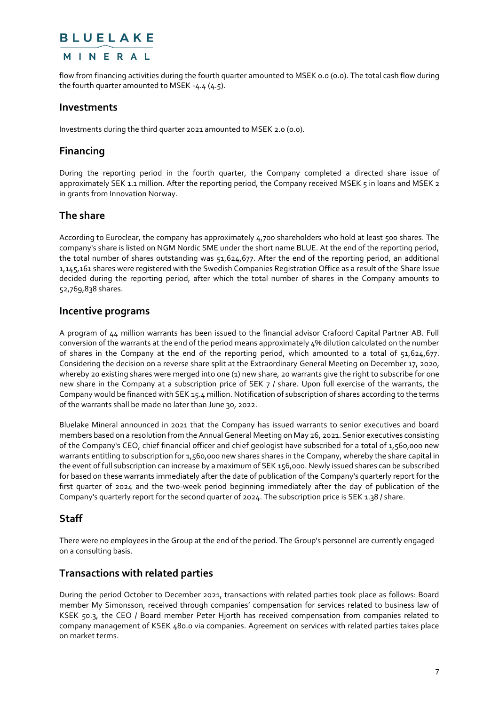#### MINERAL

flow from financing activities during the fourth quarter amounted to MSEK 0.0 (0.0). The total cash flow during the fourth quarter amounted to MSEK -4.4 (4.5).

#### **Investments**

Investments during the third quarter 2021 amounted to MSEK 2.0 (0.0).

#### **Financing**

During the reporting period in the fourth quarter, the Company completed a directed share issue of approximately SEK 1.1 million. After the reporting period, the Company received MSEK 5 in loans and MSEK 2 in grants from Innovation Norway.

#### **The share**

According to Euroclear, the company has approximately 4,700 shareholders who hold at least 500 shares. The company's share is listed on NGM Nordic SME under the short name BLUE. At the end of the reporting period, the total number of shares outstanding was 51,624,677. After the end of the reporting period, an additional 1,145,161 shares were registered with the Swedish Companies Registration Office as a result of the Share Issue decided during the reporting period, after which the total number of shares in the Company amounts to 52,769,838 shares.

#### **Incentive programs**

A program of 44 million warrants has been issued to the financial advisor Crafoord Capital Partner AB. Full conversion of the warrants at the end of the period means approximately 4% dilution calculated on the number of shares in the Company at the end of the reporting period, which amounted to a total of 51,624,677. Considering the decision on a reverse share split at the Extraordinary General Meeting on December 17, 2020, whereby 20 existing shares were merged into one (1) new share, 20 warrants give the right to subscribe for one new share in the Company at a subscription price of SEK 7 / share. Upon full exercise of the warrants, the Company would be financed with SEK 15.4 million. Notification of subscription of shares according to the terms of the warrants shall be made no later than June 30, 2022.

Bluelake Mineral announced in 2021 that the Company has issued warrants to senior executives and board members based on a resolution from the Annual General Meeting on May 26, 2021. Senior executives consisting of the Company's CEO, chief financial officer and chief geologist have subscribed for a total of 1,560,000 new warrants entitling to subscription for 1,560,000 new shares shares in the Company, whereby the share capital in the event of full subscription can increase by a maximum of SEK 156,000. Newly issued shares can be subscribed for based on these warrants immediately after the date of publication of the Company's quarterly report for the first quarter of 2024 and the two-week period beginning immediately after the day of publication of the Company's quarterly report for the second quarter of 2024. The subscription price is SEK 1.38 / share.

#### **Staff**

There were no employees in the Group at the end of the period. The Group's personnel are currently engaged on a consulting basis.

#### **Transactions with related parties**

During the period October to December 2021, transactions with related parties took place as follows: Board member My Simonsson, received through companies' compensation for services related to business law of KSEK 50.3, the CEO / Board member Peter Hjorth has received compensation from companies related to company management of KSEK 480.0 via companies. Agreement on services with related parties takes place on market terms.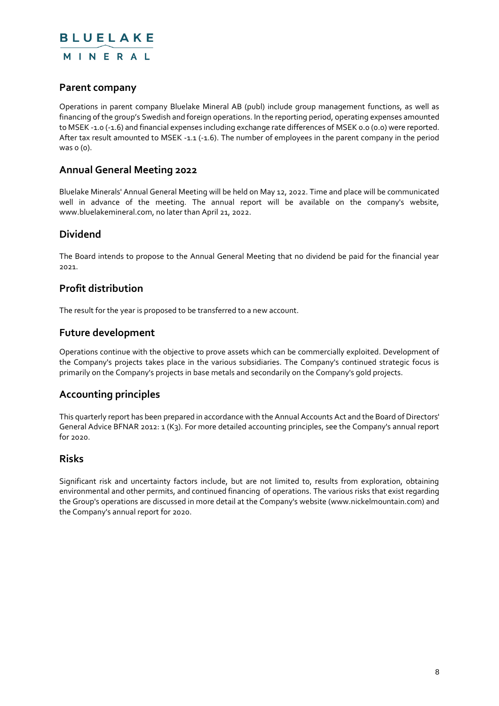

#### **Parent company**

Operations in parent company Bluelake Mineral AB (publ) include group management functions, as well as financing of the group's Swedish and foreign operations. In the reporting period, operating expenses amounted to MSEK -1.0 (-1.6) and financial expenses including exchange rate differences of MSEK 0.0 (0.0) were reported. After tax result amounted to MSEK -1.1 (-1.6). The number of employees in the parent company in the period was 0 (0).

### **Annual General Meeting 2022**

Bluelake Minerals' Annual General Meeting will be held on May 12, 2022. Time and place will be communicated well in advance of the meeting. The annual report will be available on the company's website, www.bluelakemineral.com, no later than April 21, 2022.

#### **Dividend**

The Board intends to propose to the Annual General Meeting that no dividend be paid for the financial year 2021.

#### **Profit distribution**

The result for the year is proposed to be transferred to a new account.

#### **Future development**

Operations continue with the objective to prove assets which can be commercially exploited. Development of the Company's projects takes place in the various subsidiaries. The Company's continued strategic focus is primarily on the Company's projects in base metals and secondarily on the Company's gold projects.

### **Accounting principles**

This quarterly report has been prepared in accordance with the Annual Accounts Act and the Board of Directors' General Advice BFNAR 2012: 1 (K3). For more detailed accounting principles, see the Company's annual report for 2020.

#### **Risks**

Significant risk and uncertainty factors include, but are not limited to, results from exploration, obtaining environmental and other permits, and continued financing of operations. The various risks that exist regarding the Group's operations are discussed in more detail at the Company's website (www.nickelmountain.com) and the Company's annual report for 2020.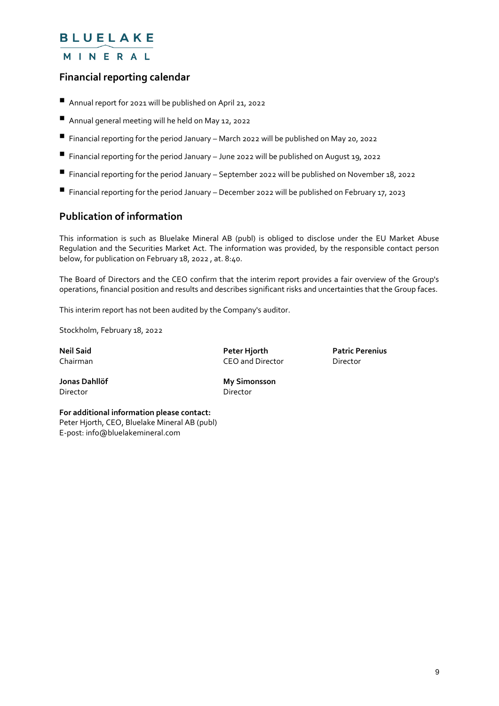MINERAL

#### **Financial reporting calendar**

- Annual report for 2021 will be published on April 21, 2022
- Annual general meeting will he held on May 12, 2022
- $\blacksquare$  Financial reporting for the period January March 2022 will be published on May 20, 2022
- $\blacksquare$  Financial reporting for the period January June 2022 will be published on August 19, 2022
- $\blacksquare$  Financial reporting for the period January September 2022 will be published on November 18, 2022
- Financial reporting for the period January December 2022 will be published on February 17, 2023

### **Publication of information**

This information is such as Bluelake Mineral AB (publ) is obliged to disclose under the EU Market Abuse Regulation and the Securities Market Act. The information was provided, by the responsible contact person below, for publication on February 18, 2022 , at. 8:40.

The Board of Directors and the CEO confirm that the interim report provides a fair overview of the Group's operations, financial position and results and describes significant risks and uncertainties that the Group faces.

This interim report has not been audited by the Company's auditor.

Stockholm, February 18, 2022

**Neil Said Peter Hjorth Patric Perenius** Chairman CEO and Director Director

**Jonas Dahllöf My Simonsson** Director Director

**For additional information please contact:** Peter Hjorth, CEO, Bluelake Mineral AB (publ) E-post: info@bluelakemineral.com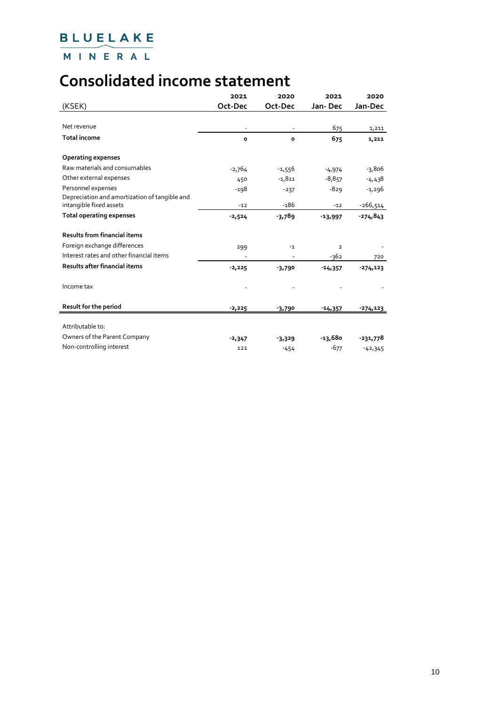MINERAL

# **Consolidated income statement**

|                                               | 2021     | 2020     | 2021           | 2020        |
|-----------------------------------------------|----------|----------|----------------|-------------|
| (KSEK)                                        | Oct-Dec  | Oct-Dec  | Jan-Dec        | Jan-Dec     |
| Net revenue                                   |          |          |                |             |
|                                               |          |          | 675            | 1,211       |
| <b>Total income</b>                           | O        | $\circ$  | 675            | 1,211       |
| <b>Operating expenses</b>                     |          |          |                |             |
| Raw materials and consumables                 | $-2,764$ | $-1,556$ | $-4,974$       | $-3,806$    |
| Other external expenses                       | 450      | $-1,811$ | $-8,857$       | $-4,438$    |
| Personnel expenses                            | $-198$   | $-237$   | $-829$         | $-1,296$    |
| Depreciation and amortization of tangible and |          |          |                |             |
| intangible fixed assets                       | $-12$    | $-186$   | $-12$          | $-266,514$  |
| <b>Total operating expenses</b>               | $-2,524$ | -3,789   | $-13,997$      | $-274,843$  |
| <b>Results from financial items</b>           |          |          |                |             |
| Foreign exchange differences                  | 299      | $-1$     | $\overline{2}$ |             |
| Interest rates and other financial items      |          |          | $-362$         | 720         |
| Results after financial items                 | $-2,225$ | $-3,790$ | $-14,357$      | $-274, 123$ |
| Income tax                                    |          |          |                |             |
| Result for the period                         | $-2,225$ | $-3,790$ | $-14,357$      | $-274, 123$ |
|                                               |          |          |                |             |
| Attributable to:                              |          |          |                |             |
| Owners of the Parent Company                  | $-2,347$ | $-3,329$ | -13,680        | $-231,778$  |
| Non-controlling interest                      | 122      | $-454$   | $-677$         | $-42,345$   |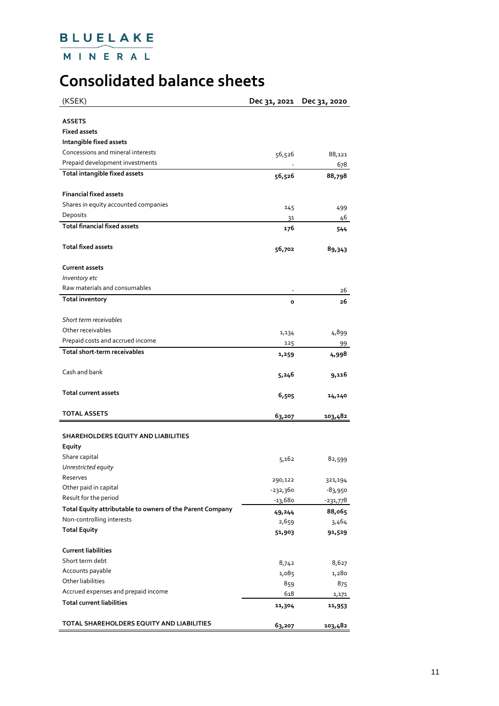MINERAL

# **Consolidated balance sheets**

| (KSEK)                                                    | Dec 31, 2021 | Dec 31, 2020 |
|-----------------------------------------------------------|--------------|--------------|
|                                                           |              |              |
| <b>ASSETS</b>                                             |              |              |
| <b>Fixed assets</b>                                       |              |              |
| Intangible fixed assets                                   |              |              |
| Concessions and mineral interests                         | 56,526       | 88,121       |
| Prepaid development investments                           |              | 678          |
| Total intangible fixed assets                             | 56,526       | 88,798       |
|                                                           |              |              |
| <b>Financial fixed assets</b>                             |              |              |
| Shares in equity accounted companies                      | 145          | 499          |
| Deposits                                                  | 31           | 46           |
| <b>Total financial fixed assets</b>                       | 176          | 544          |
|                                                           |              |              |
| <b>Total fixed assets</b>                                 | 56,702       | 89,343       |
| <b>Current assets</b>                                     |              |              |
| Inventory etc                                             |              |              |
| Raw materials and consumables                             |              |              |
| <b>Total inventory</b>                                    |              | 26           |
|                                                           | $\mathbf{o}$ | 26           |
| Short term receivables                                    |              |              |
| Other receivables                                         |              |              |
| Prepaid costs and accrued income                          | 1,134        | 4,899        |
| Total short-term receivables                              | 125          | 99           |
|                                                           | 1,259        | 4,998        |
| Cash and bank                                             | 5,246        | 9,116        |
|                                                           |              |              |
| Total current assets                                      | 6,505        | 14,140       |
|                                                           |              |              |
| <b>TOTAL ASSETS</b>                                       | 63,207       | 103,482      |
|                                                           |              |              |
| <b>SHAREHOLDERS EQUITY AND LIABILITIES</b>                |              |              |
| Equity                                                    |              |              |
| Share capital                                             | 5,162        | 82,599       |
| Unrestricted equity                                       |              |              |
| Reserves                                                  | 290,122      | 321,194      |
| Other paid in capital                                     | $-232,360$   | $-83,950$    |
| Result for the period                                     | $-13,680$    | $-231,778$   |
| Total Equity attributable to owners of the Parent Company | 49,244       | 88,065       |
| Non-controlling interests                                 | 2,659        | 3,464        |
| <b>Total Equity</b>                                       | 51,903       | 91,529       |
|                                                           |              |              |
| <b>Current liabilities</b>                                |              |              |
| Short term debt                                           | 8,742        | 8,627        |
| Accounts payable                                          | 1,085        | 1,280        |
| Other liabilities                                         | 859          | 875          |
| Accrued expenses and prepaid income                       | 618          | 1,171        |
| <b>Total current liabilities</b>                          | 11,304       | 11,953       |
|                                                           |              |              |
| TOTAL SHAREHOLDERS EQUITY AND LIABILITIES                 | 63,207       | 103,482      |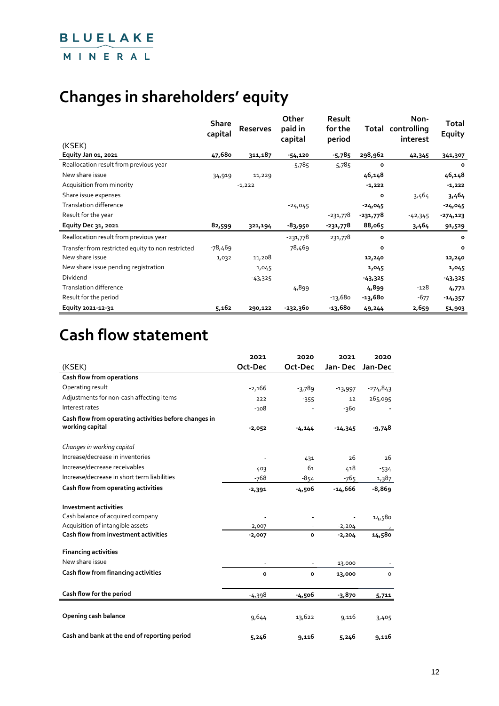# BLUELAKE MINERAL

# **Changes in shareholders' equity**

|                                                   | <b>Share</b><br>capital | <b>Reserves</b> | Other<br>paid in<br>capital | Result<br>for the<br>period | Total      | Non-<br>controlling<br>interest | Total<br>Equity |
|---------------------------------------------------|-------------------------|-----------------|-----------------------------|-----------------------------|------------|---------------------------------|-----------------|
| (KSEK)                                            |                         |                 |                             |                             |            |                                 |                 |
| Equity Jan 01, 2021                               | 47,680                  | 311,187         | $-54,120$                   | $-5,785$                    | 298,962    | 42,345                          | 341,307         |
| Reallocation result from previous year            |                         |                 | $-5,785$                    | 5,785                       | $\circ$    |                                 | $\circ$         |
| New share issue                                   | 34,919                  | 11,229          |                             |                             | 46,148     |                                 | 46,148          |
| Acquisition from minority                         |                         | $-1,222$        |                             |                             | $-1,222$   |                                 | $-1,222$        |
| Share issue expenses                              |                         |                 |                             |                             | $\circ$    | 3,464                           | 3,464           |
| <b>Translation difference</b>                     |                         |                 | $-24,045$                   |                             | $-24,045$  |                                 | $-24,045$       |
| Result for the year                               |                         |                 |                             | $-231,778$                  | $-231,778$ | $-42,345$                       | $-274, 123$     |
| Equity Dec 31, 2021                               | 82,599                  | 321,194         | -83,950                     | -231,778                    | 88,065     | 3,464                           | 91,529          |
| Reallocation result from previous year            |                         |                 | -231,778                    | 231,778                     | $\circ$    |                                 | $\circ$         |
| Transfer from restricted equity to non restricted | -78,469                 |                 | 78,469                      |                             | о          |                                 | $\circ$         |
| New share issue                                   | 1,032                   | 11,208          |                             |                             | 12,240     |                                 | 12,240          |
| New share issue pending registration              |                         | 1,045           |                             |                             | 1,045      |                                 | 1,045           |
| Dividend                                          |                         | $-43,325$       |                             |                             | $-43,325$  |                                 | $-43,325$       |
| <b>Translation difference</b>                     |                         |                 | 4,899                       |                             | 4,899      | $-128$                          | 4,771           |
| Result for the period                             |                         |                 |                             | $-13,680$                   | -13,680    | $-677$                          | $-14,357$       |
| Equity 2021-12-31                                 | 5,162                   | 290,122         | -232,360                    | -13,680                     | 49,244     | 2,659                           | 51,903          |

# **Cash flow statement**

|                                                       | 2021     | 2020     | 2021      | 2020       |
|-------------------------------------------------------|----------|----------|-----------|------------|
| (KSEK)                                                | Oct-Dec  | Oct-Dec  | Jan-Dec   | Jan-Dec    |
| Cash flow from operations                             |          |          |           |            |
| Operating result                                      | $-2,166$ | $-3,789$ | $-13,997$ | $-274,843$ |
| Adjustments for non-cash affecting items              | 222      | $-355$   | 12        | 265,095    |
| Interest rates                                        | $-108$   |          | -360      |            |
| Cash flow from operating activities before changes in |          |          |           |            |
| working capital                                       | $-2,052$ | $-4,144$ | $-14,345$ | $-9,748$   |
| Changes in working capital                            |          |          |           |            |
| Increase/decrease in inventories                      |          | 431      | 26        | 26         |
| Increase/decrease receivables                         | 403      | 61       | 418       | $-534$     |
| Increase/decrease in short term liabilities           | $-768$   | $-854$   | $-765$    | 1,387      |
| Cash flow from operating activities                   | $-2,391$ | $-4,506$ | $-14,666$ | $-8,869$   |
| <b>Investment activities</b>                          |          |          |           |            |
| Cash balance of acquired company                      |          |          |           | 14,580     |
| Acquisition of intangible assets                      | $-2,007$ |          | $-2,204$  |            |
| <b>Cash flow from investment activities</b>           | $-2,007$ | o        | $-2,204$  | 14,580     |
| <b>Financing activities</b>                           |          |          |           |            |
| New share issue                                       |          |          | 13,000    |            |
| Cash flow from financing activities                   | o        | o        | 13,000    | $\circ$    |
| Cash flow for the period                              | $-4,398$ | $-4,506$ | $-3,870$  | 5,711      |
|                                                       |          |          |           |            |
| Opening cash balance                                  | 9,644    | 13,622   | 9,116     | 3,405      |
| Cash and bank at the end of reporting period          | 5,246    | 9,116    | 5,246     | 9,116      |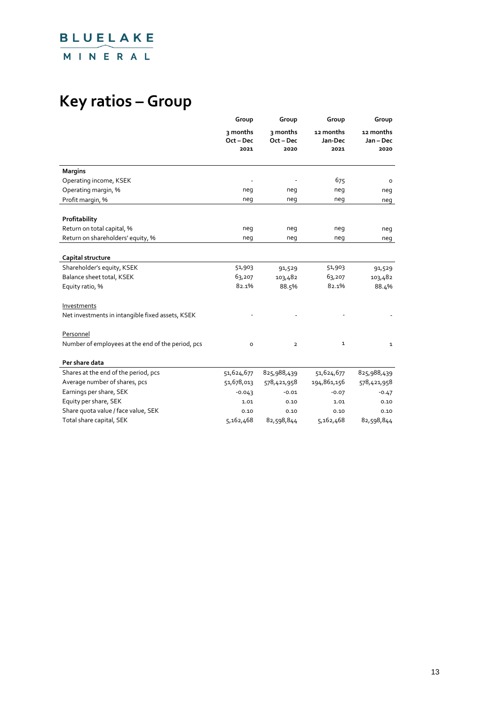# **Key ratios – Group**

|                                                   | Group               | Group               | Group                | Group                  |
|---------------------------------------------------|---------------------|---------------------|----------------------|------------------------|
|                                                   | 3 months<br>Oct-Dec | 3 months<br>Oct-Dec | 12 months<br>Jan-Dec | 12 months<br>Jan - Dec |
|                                                   | 2021                | 2020                | 2021                 | 2020                   |
| <b>Margins</b>                                    |                     |                     |                      |                        |
| Operating income, KSEK                            |                     |                     | 675                  | O                      |
| Operating margin, %                               | neg                 | neg                 | neg                  | neg                    |
| Profit margin, %                                  | neg                 | neg                 | neg                  | neg                    |
|                                                   |                     |                     |                      |                        |
| Profitability                                     |                     |                     |                      |                        |
| Return on total capital, %                        | neg                 | neg                 | neg                  | neg                    |
| Return on shareholders' equity, %                 | neg                 | neg                 | neg                  | neg                    |
|                                                   |                     |                     |                      |                        |
| Capital structure                                 |                     |                     |                      |                        |
| Shareholder's equity, KSEK                        | 51,903              | 91,529              | 51,903               | 91,529                 |
| Balance sheet total, KSEK                         | 63,207              | 103,482             | 63,207               | 103,482                |
| Equity ratio, %                                   | 82.1%               | 88.5%               | 82.1%                | 88.4%                  |
| Investments                                       |                     |                     |                      |                        |
| Net investments in intangible fixed assets, KSEK  |                     |                     |                      |                        |
| Personnel                                         |                     |                     |                      |                        |
| Number of employees at the end of the period, pcs | $\circ$             | $\overline{2}$      | 1                    | 1                      |
|                                                   |                     |                     |                      |                        |
| Per share data                                    |                     |                     |                      |                        |
| Shares at the end of the period, pcs              | 51,624,677          | 825,988,439         | 51,624,677           | 825,988,439            |
| Average number of shares, pcs                     | 51,678,013          | 578,421,958         | 194,861,156          | 578,421,958            |
| Earnings per share, SEK                           | $-0.043$            | $-0.01$             | $-0.07$              | $-0.47$                |
| Equity per share, SEK                             | 1.01                | 0.10                | 1.01                 | 0.10                   |
| Share quota value / face value, SEK               | 0.10                | 0.10                | 0.10                 | 0.10                   |
| Total share capital, SEK                          | 5,162,468           | 82,598,844          | 5,162,468            | 82,598,844             |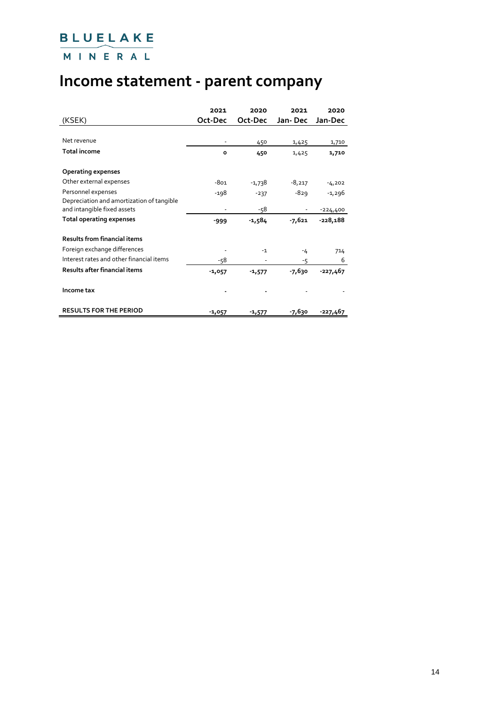# MINERAL

# **Income statement - parent company**

| (KSEK)                                                                   | 2021<br>Oct-Dec | 2020<br>Oct-Dec | 2021<br>Jan- Dec | 2020<br>Jan-Dec |
|--------------------------------------------------------------------------|-----------------|-----------------|------------------|-----------------|
|                                                                          |                 |                 |                  |                 |
| Net revenue                                                              |                 | 450             | 1,425            | 1,710           |
| <b>Total income</b>                                                      | $\circ$         | 450             | 1,425            | 1,710           |
| <b>Operating expenses</b>                                                |                 |                 |                  |                 |
| Other external expenses                                                  | $-801$          | -1,738          | $-8,217$         | $-4,202$        |
| Personnel expenses                                                       | -198            | $-237$          | $-829$           | $-1,296$        |
| Depreciation and amortization of tangible<br>and intangible fixed assets |                 | -58             |                  | $-224,400$      |
| Total operating expenses                                                 | -999            | $-1,584$        | $-7,621$         | -228,188        |
| <b>Results from financial items</b>                                      |                 |                 |                  |                 |
| Foreign exchange differences                                             |                 | $-1$            | -4               | 714             |
| Interest rates and other financial items                                 | -58             |                 | $-5$             | 6               |
| Results after financial items                                            | $-1,057$        | $-1,577$        | -7,630           | $-227,467$      |
| Income tax                                                               |                 |                 |                  |                 |
| <b>RESULTS FOR THE PERIOD</b>                                            | $-1,057$        | $-1,577$        | $-7,630$         | -227,467        |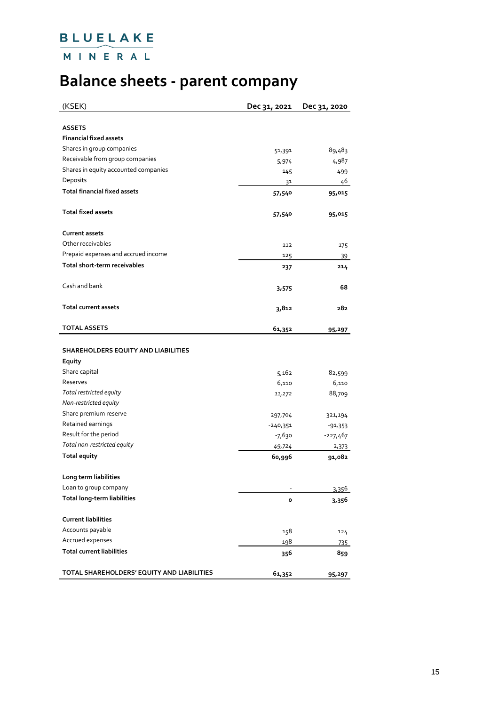MINERAL

# **Balance sheets - parent company**

| (KSEK)                                     | Dec 31, 2021           | Dec 31, 2020       |
|--------------------------------------------|------------------------|--------------------|
|                                            |                        |                    |
| <b>ASSETS</b>                              |                        |                    |
| <b>Financial fixed assets</b>              |                        |                    |
| Shares in group companies                  | 51,391                 | 89,483             |
| Receivable from group companies            | 5,974                  | 4,987              |
| Shares in equity accounted companies       | 145                    | 499                |
| Deposits                                   | 31                     | 46                 |
| <b>Total financial fixed assets</b>        | 57,540                 | 95,015             |
| <b>Total fixed assets</b>                  | 57,540                 | 95,015             |
| <b>Current assets</b>                      |                        |                    |
| Other receivables                          | 112                    | 175                |
| Prepaid expenses and accrued income        | 125                    | <u>39  </u>        |
| Total short-term receivables               | 237                    | 214                |
| Cash and bank                              | 3,575                  | 68                 |
| <b>Total current assets</b>                | 3,812                  | 282                |
| TOTAL ASSETS                               | 61,352                 | 95,297             |
| <b>SHAREHOLDERS EQUITY AND LIABILITIES</b> |                        |                    |
| Equity                                     |                        |                    |
| Share capital                              | 5,162                  | 82,599             |
| Reserves                                   | 6,110                  | 6,110              |
| Total restricted equity                    |                        | 88,709             |
| Non-restricted equity                      | 11,272                 |                    |
| Share premium reserve                      |                        |                    |
| Retained earnings                          | 297,704                | 321,194            |
| Result for the period                      | $-240,351$<br>$-7,630$ | $-91,353$          |
| Total non-restricted equity                |                        | $-227,467$         |
| <b>Total equity</b>                        | 49,724<br>60,996       | 2,373<br>91,082    |
| Long term liabilities                      |                        |                    |
| Loan to group company                      |                        |                    |
| Total long-term liabilities                | o                      | 3,356<br>3,356     |
| <b>Current liabilities</b>                 |                        |                    |
| Accounts payable                           |                        |                    |
| Accrued expenses                           | 158                    | 124                |
| <b>Total current liabilities</b>           | 198<br>356             | <u>735 </u><br>859 |
|                                            |                        |                    |
| TOTAL SHAREHOLDERS' EQUITY AND LIABILITIES | 61,352                 | 95,297             |